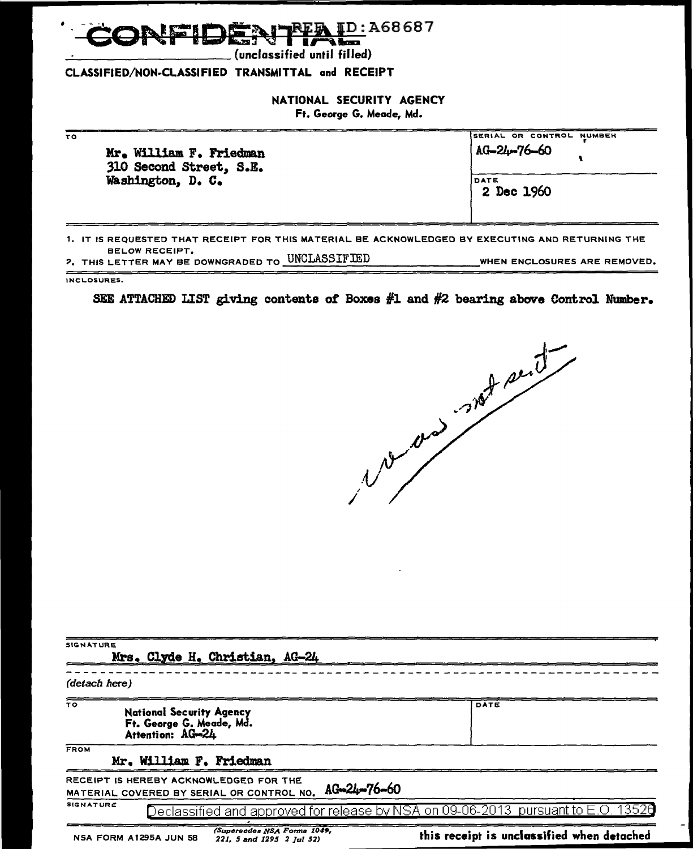

(unclassified until filled)

#### CLASSIFIED/NON·CLASSIFIED TRANSMITTAL and RECEIPT

#### NATIONAL SECURITY AGENCY

Ft. George G. Meade, Md.

| 2 Dec 1960 | τо | Mr. William F. Friedman<br>310 Second Street, S.E. | SERIAL OR CONTROL NUMBER<br>AG-24-76-60 |
|------------|----|----------------------------------------------------|-----------------------------------------|
|            |    | Washington, D. C.                                  | DATE                                    |

1. IT IS REQUESTED THAT RECEIPT FOR THIS MATERIAL BE ACKNOWLEDGED BY EXECUTING AND RETURNING THE BELOW RECEIPT. *?,* THIS LETTER MAY BE DOWNGRADED TO \_U\_'N\_C\_LA\_S\_S\_I\_F\_IE\_D \_\_\_\_\_\_\_\_\_ WHEN ENCLOSURES ARE REMOVED.

INCLOSURES.

SEE ATTACHED LIST giving contents ot Boxes #1 and #2 bearing above Control Number.

 $\overline{\phantom{a}}$ 

| <b>SIGNATURE</b> | Mrs. Clyde H. Christian, AG-24                                                      |                             |                                                                                            |
|------------------|-------------------------------------------------------------------------------------|-----------------------------|--------------------------------------------------------------------------------------------|
| (detach here)    |                                                                                     |                             |                                                                                            |
| TO.              | <b>National Security Agency</b><br>Ft. George G. Meade, Md.<br>Attention: AG-24     |                             | DATE                                                                                       |
| <b>FROM</b>      | Mr. William F. Friedman                                                             |                             |                                                                                            |
|                  | RECEIPT IS HEREBY ACKNOWLEDGED FOR THE<br>MATERIAL COVERED BY SERIAL OR CONTROL NO. | AG-24-76-60                 |                                                                                            |
| <b>SIGNATURE</b> |                                                                                     |                             | <u> Declassified and approved for release by NSA on 09-06-2013  pursuant to E.O. 13526</u> |
|                  | NSA FORM A1295A JUN 58<br>221, 5 and 1295 2 Jul 52)                                 | (Supersedes NSA Forma 1049, | this receipt is unclassified when detached                                                 |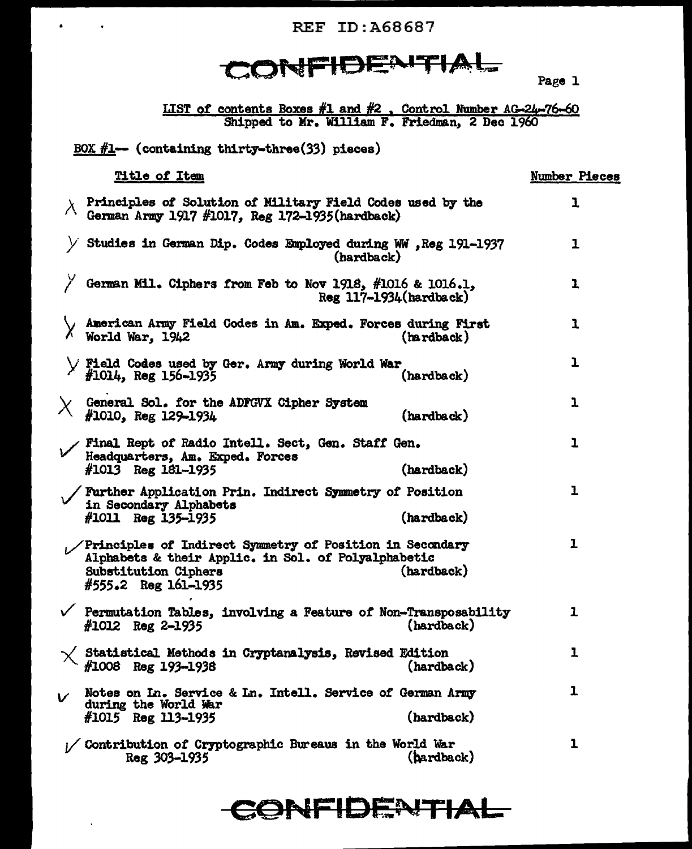REF ID:A68687

## CONFIDENTIAL

Page l

LIST of contents Boxes #1 and #2, Control Number AG-24-76-60 Shipped to Mr. William F. Friedman, 2 Dec 19

BOX  $#1$ -- (containing thirty-three(33) pieces)

|          | <u>Title of Item</u>                                                                                                                                                                    | Number Pieces |
|----------|-----------------------------------------------------------------------------------------------------------------------------------------------------------------------------------------|---------------|
|          | $\lambda$ Principles of Solution of Military Field Codes used by the<br>German Army 1917 #1017, Reg 172-1935 (hardback)                                                                 | 1             |
|          | Studies in German Dip. Codes Employed during WW , Reg 191-1937<br>(hardback)                                                                                                            | ı             |
|          | German Mil. Ciphers from Feb to Nov 1918, #1016 & 1016.1,<br>$Reg$ 117-1934 $(hardback)$                                                                                                | 1             |
|          | American Army Field Codes in Am. Exped. Forces during First<br>World War, 1942<br>(hardback)                                                                                            | ı             |
|          | > Field Codes used by Ger. Army during World War<br>$#1014$ , Reg 156-1935<br>(hardback)                                                                                                | ı             |
| $\chi_-$ | General Sol. for the ADFGVX Cipher System<br>#1010, Reg 129-1934<br>(hardback)                                                                                                          | ı             |
|          | Final Rept of Radio Intell. Sect, Gen. Staff Gen.<br>Headquarters, Am. Exped. Forces<br>$#1013$ Reg 181-1935<br>(hardback)                                                              | ı             |
|          | / Further Application Prin. Indirect Symmetry of Position<br>in Secondary Alphabets<br>(hardback)<br>$#1011$ Reg 135-1935                                                               | ı             |
|          | / Principles of Indirect Symmetry of Position in Secondary<br>Alphabets & their Applic. in Sol. of Polyalphabetic<br><b>Substitution Ciphers</b><br>(hardback)<br>$#555.2$ Reg 161-1935 | ı             |
|          | $\checkmark$ Permutation Tables, involving a Feature of Non-Transposability<br>(hardback)<br>$#1012$ Reg 2-1935                                                                         | ı             |
|          | Statistical Methods in Cryptanalysis, Revised Edition<br>$#1008$ Reg 193-1938<br>(hardback)                                                                                             | ı             |
|          | Notes on In. Service & In. Intell. Service of German Army<br>during the World War<br>(hardback)<br>$#1015$ Reg 113-1935                                                                 | ı             |
|          | / Contribution of Cryptographic Bureaus in the World War<br>(bardback)<br>Reg 303-1935                                                                                                  | 1             |

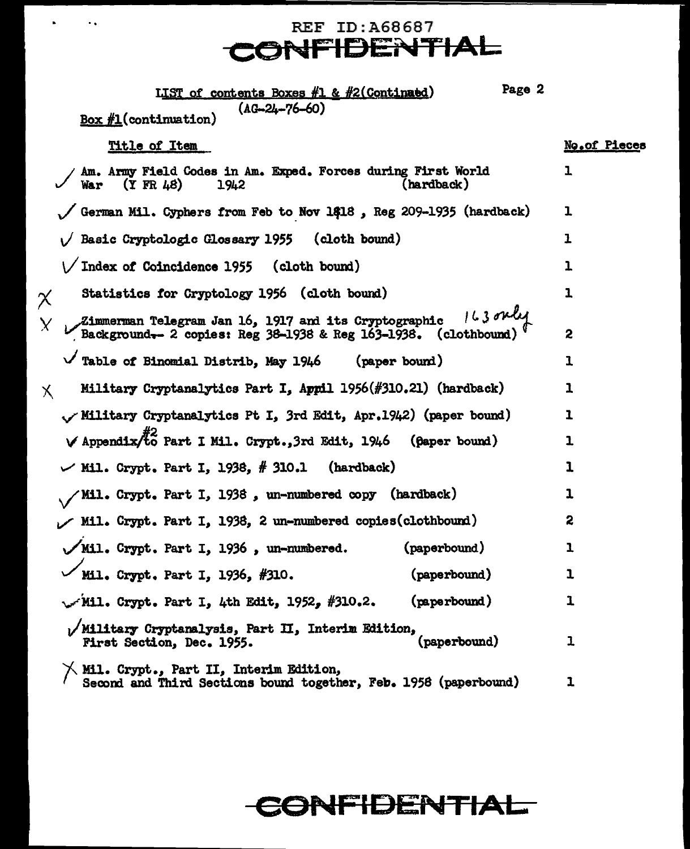### REF ID:A68687 **CONFIDENTIAL**

 $\mathbf{v} = \mathbf{v} \cdot \mathbf{v}$ 

| Page 2<br>LIST of contents Boxes #1 & #2(Continued)                                                                             |                     |
|---------------------------------------------------------------------------------------------------------------------------------|---------------------|
| $(AG-24-76-60)$<br>$Box\#1$ (continuation)                                                                                      |                     |
| Title of Item                                                                                                                   | <b>No.of Pieces</b> |
| Am. Army Field Codes in Am. Exped. Forces during First World<br>$(Y$ FR $\mu$ 8)<br>(hardback)<br>War<br>1942                   | ı                   |
| German Mil. Cyphers from Feb to Nov 1418, Reg 209-1935 (hardback)                                                               | ı                   |
| Basic Cryptologic Glossary 1955 (cloth bound)                                                                                   | ı                   |
| \/ Index of Coincidence 1955 (cloth bound)                                                                                      | ı                   |
| Statistics for Cryptology 1956 (cloth bound)<br>$\chi$                                                                          | ı                   |
| Zimmerman Telegram Jan 16, 1917 and its Cryptographic 163 over<br>Background-2 copies: Reg 38-1938 & Reg 163-1938. (clothbound) | 2                   |
| Table of Binomial Distrib, May 1946 (paper bound)                                                                               | ı                   |
| Military Cryptanalytics Part I, Appil 1956(#310.21) (hardback)<br>Х                                                             | ı                   |
| (paper bound) Military Cryptanalytics Pt I, 3rd Edit, Apr.1942) (paper bound)                                                   | ı                   |
| $\vee$ Appendix/to Part I Mil. Crypt., 3rd Edit, 1946 (paper bound)                                                             | ı                   |
| $\vee$ Mil. Crypt. Part I, 1938, # 310.1<br>(hardback)                                                                          | ı                   |
| Mil. Crypt. Part I, 1938, un-numbered copy (hardback)                                                                           | ı                   |
| Mil. Crypt. Part I, 1938, 2 un-numbered copies(clothbound)                                                                      | 2                   |
| (paperbound)<br>/Mil. Crypt. Part I, 1936, un-numbered.                                                                         | ı                   |
| Mil. Crypt. Part I. 1936, #310.<br>(paperbound)                                                                                 | ı                   |
| (paperbound)<br>$\sqrt{M11}$ . Crypt. Part I, 4th Edit, 1952, #310.2.                                                           | 1                   |
| Military Cryptanalysis, Part II, Interim Edition,<br>(paperbound)<br>First Section, Dec. 1955.                                  | 1                   |
| Mil. Crypt., Part II, Interim Edition,<br>Second and Third Sections bound together, Feb. 1958 (paperbound)                      | ı                   |

## **CONFIDENTIAL**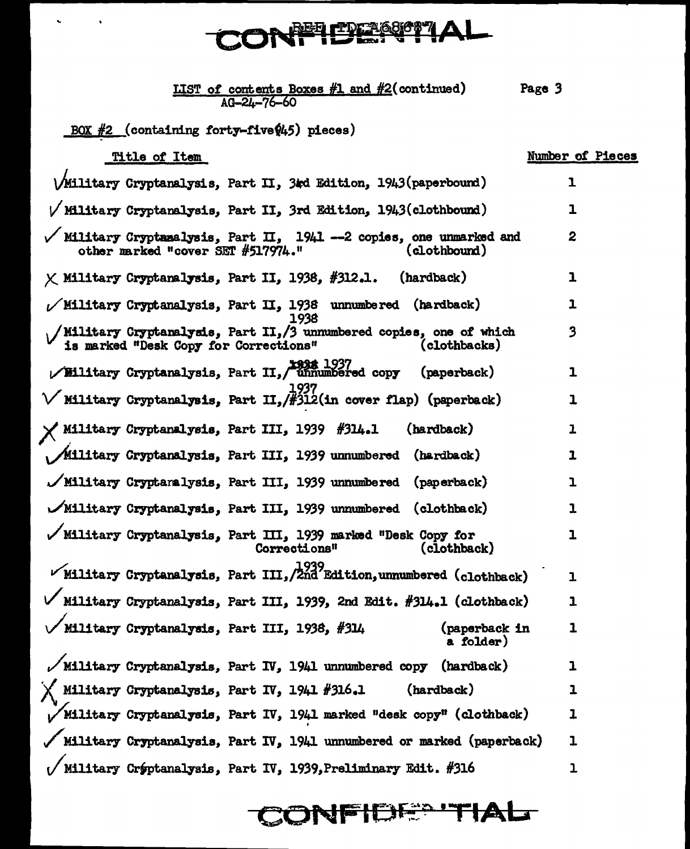# **CONFIDERETIAL**

| <b>LIST of contents Boxes #1 and #2(continued)</b> | Page 3 |
|----------------------------------------------------|--------|
| $AG - 24 - 76 - 60$                                |        |

BOX  $#2$  (containing forty-five $(4,5)$  pieces)

 $\ddot{\phantom{a}}$ 

 $\sim 10^{-11}$  km  $^{-1}$ 

| Title of Item                                                                                                               | Number of Pieces |
|-----------------------------------------------------------------------------------------------------------------------------|------------------|
| (Military Cryptanalysis, Part II, 3td Edition, 1943(paperbound)                                                             | ı                |
| $\sqrt{$ Military Cryptanalysis, Part II, 3rd Edition, 1943(clothbound)                                                     | ı                |
| Military Cryptanalysis, Part II, 1941 -- 2 copies, one unmarked and<br>other marked "cover SET #517974."<br>(clothbound)    | $\boldsymbol{2}$ |
| $\times$ Military Cryptanalysis, Part II, 1938, #312.1. (hardback)                                                          | ı                |
| $\nu$ Military Cryptanalysis, Part II, 1938 unnumbered (hardback)<br>1938                                                   | 1                |
| Military Cryptanalysis, Part II,/3 unnumbered copies, one of which<br>is marked "Desk Copy for Corrections"<br>(clothbacks) | 3                |
| 1937 Military Cryptanalysis, Part II, unnumbered copy<br>(paperback)                                                        | 1                |
| $\sqrt{\text{Military Cryptanalysis}}$ , Part II, /#312(in cover flap) (paperback)                                          | ı                |
| Military Cryptanalysis, Part III, 1939 #314.1<br>(hardback)                                                                 | 1                |
| /Military Cryptanalysis, Part III, 1939 unnumbered (hardback)                                                               | 1                |
| /Military Cryptanalysis, Part III, 1939 unnumbered (paperback)                                                              | ı                |
| $\mathcal{N}$ Military Cryptanalysis, Part III, 1939 unnumbered (clothback)                                                 | $\mathbf{1}$     |
| Military Cryptanalysis, Part III, 1939 marked "Desk Copy for<br>Corrections"<br>(clothback)                                 | ı                |
| Military Cryptanalysis, Part III, 2039<br>Military Cryptanalysis, Part III, 2nd Edition, unnumbered (clothback)             | ı                |
| Military Cryptanalysis, Part III, 1939, 2nd Edit. #314.1 (clothback)                                                        | ı                |
| Military Cryptanalysis, Part III, 1938, #314<br>(paperback in<br>a folder)                                                  | 1                |
| $\sqrt{}$ Military Cryptanalysis, Part IV, 1941 unnumbered copy (hardback)                                                  | ı                |
| $\times$ Military Cryptanalysis, Part IV, 1941 #316.1<br>(hardback)                                                         | ı                |
| Military Cryptanalysis, Part IV, 1941 marked "desk copy" (clothback)                                                        | ı                |
| / Military Cryptanalysis, Part IV, 1941 unnumbered or marked (paperback)                                                    | 1                |
| Military Crýptanalysis, Part IV, 1939, Preliminary Edit. #316                                                               | ı                |

CONFIDE® TIAL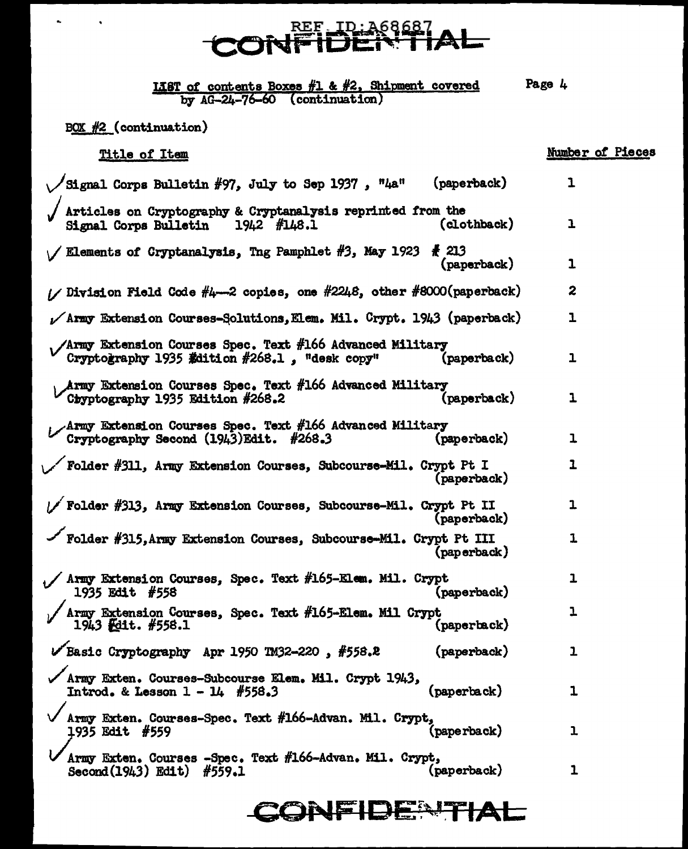## <u>REF ID:A6868</u>

**IIST** of contents Boxes #1 & #2, Shipment covered Page 4 by  $AG - 24 - 76 - 60$  (continuation)

 $BOX$   $#2$  (continuation)

Title of Item Signal Corps Bulletin #97, July to Sep 1937,  $"4a"$  $(*spaceback*)$ Articles on Cryptography & Cryptanalysis reprinted from the Signal Corps Bulletin  $1942$   $#148.1$ (clothback)  $\ell$  Elements of Cryptanalysis, Tng Pamphlet #3, May 1923  $\frac{1}{K}$  213 (paperback) // Division Field Code #4-2 copies, one #2248, other #8000(paperback)  $\sqrt{Arm}$  Extension Courses-Solutions, Elem. Mil. Crypt. 1943 (paperback) /Army Extension Courses Spec. Text #166 Advanced Military Cryptography 1935 Edition  $#268.1$ . "desk copy" (paperback) **Army Extension Courses Spec. Text #166 Advanced Military**  $(\texttt{paperback})$ Chyptography 1935 Edition #268.2 Army Extension Courses Spec. Text #166 Advanced Military Cryptography Second (1943)Edit. #268.3 (paperback)  $\angle$  Folder #311, Army Extension Courses, Subcourse-Mil. Crypt Pt I (paperback) // Folder #313, Army Extension Courses, Subcourse-Mil. Crypt Pt II (paperback) Folder #315. Army Extension Courses, Subcourse-Mil. Crypt Pt III (paperback)  $\sqrt{2}$  Army Extension Courses, Spec. Text #165-Elem. Mil. Crypt 1935 Edit #558 (paperback) Army Extension Courses, Spec. Text #165-Elem. Mil Crypt  $1943$  Felt.  $#558.1$ (paperback)  $V$ Basic Cryptography Apr 1950 TM32-220, #558.2  $(paperback)$ Army Exten. Courses-Subcourse Elem. Mil. Crypt 1943. Introd. & Lesson  $1 - 14$  #558.3  $(\texttt{paperback})$ Army Exten. Courses-Spec. Text #166-Advan. Mil. Crypt, 1935 Edit #559 (paperback) Army Exten. Courses -Spec. Text #166-Advan. Mil. Crypt,  $(\text{paperback})$ Second (1943) Edit) #559.1

### **TONE DENTIAL**

### Number of Pieces

 $\mathbf{1}$ 

ı

1

2

ı

 $\mathbf{1}$ 

 $\mathbf{1}$ 

 $\mathbf 1$ 

 $\mathbf{I}$ 

 $\mathbf{1}$ 

1

 $\mathbf{1}$ 

ı

 $\mathbf{I}$ 

ı

ı

 $\overline{1}$